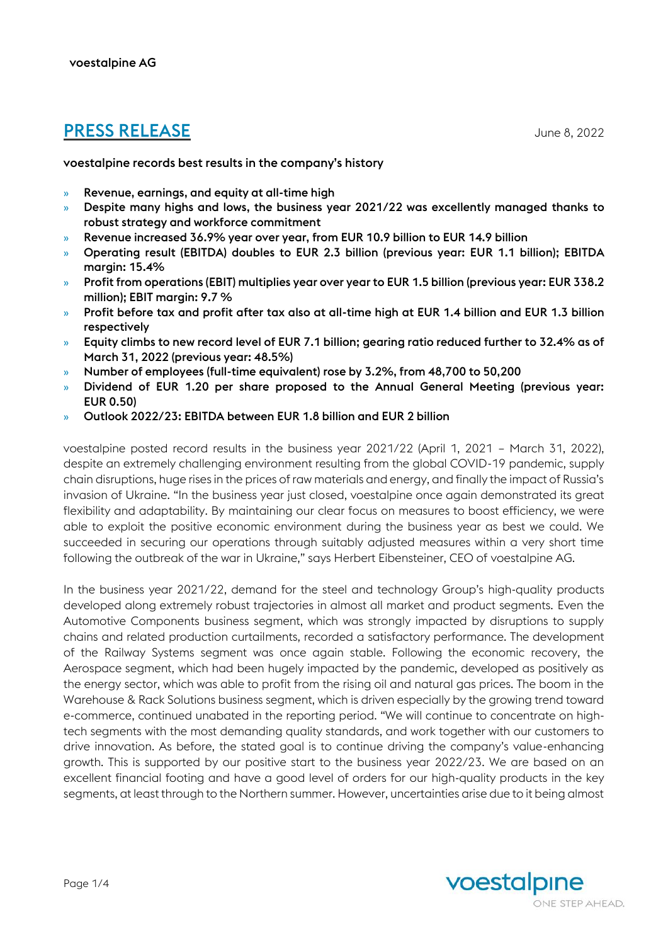# **PRESS RELEASE** June 8, 2022

voestalpine records best results in the company's history

- » Revenue, earnings, and equity at all-time high
- » Despite many highs and lows, the business year 2021/22 was excellently managed thanks to robust strategy and workforce commitment
- » Revenue increased 36.9% year over year, from EUR 10.9 billion to EUR 14.9 billion
- » Operating result (EBITDA) doubles to EUR 2.3 billion (previous year: EUR 1.1 billion); EBITDA margin: 15.4%
- » Profit from operations (EBIT) multiplies year over year to EUR 1.5 billion (previous year: EUR 338.2 million); EBIT margin: 9.7 %
- » Profit before tax and profit after tax also at all-time high at EUR 1.4 billion and EUR 1.3 billion respectively
- » Equity climbs to new record level of EUR 7.1 billion; gearing ratio reduced further to 32.4% as of March 31, 2022 (previous year: 48.5%)
- » Number of employees (full-time equivalent) rose by 3.2%, from 48,700 to 50,200
- » Dividend of EUR 1.20 per share proposed to the Annual General Meeting (previous year: EUR 0.50)
- » Outlook 2022/23: EBITDA between EUR 1.8 billion and EUR 2 billion

voestalpine posted record results in the business year 2021/22 (April 1, 2021 – March 31, 2022), despite an extremely challenging environment resulting from the global COVID-19 pandemic, supply chain disruptions, huge rises in the prices of raw materials and energy, and finally the impact of Russia's invasion of Ukraine. "In the business year just closed, voestalpine once again demonstrated its great flexibility and adaptability. By maintaining our clear focus on measures to boost efficiency, we were able to exploit the positive economic environment during the business year as best we could. We succeeded in securing our operations through suitably adjusted measures within a very short time following the outbreak of the war in Ukraine," says Herbert Eibensteiner, CEO of voestalpine AG.

In the business year 2021/22, demand for the steel and technology Group's high-quality products developed along extremely robust trajectories in almost all market and product segments. Even the Automotive Components business segment, which was strongly impacted by disruptions to supply chains and related production curtailments, recorded a satisfactory performance. The development of the Railway Systems segment was once again stable. Following the economic recovery, the Aerospace segment, which had been hugely impacted by the pandemic, developed as positively as the energy sector, which was able to profit from the rising oil and natural gas prices. The boom in the Warehouse & Rack Solutions business segment, which is driven especially by the growing trend toward e-commerce, continued unabated in the reporting period. "We will continue to concentrate on hightech segments with the most demanding quality standards, and work together with our customers to drive innovation. As before, the stated goal is to continue driving the company's value-enhancing growth. This is supported by our positive start to the business year 2022/23. We are based on an excellent financial footing and have a good level of orders for our high-quality products in the key segments, at least through to the Northern summer. However, uncertainties arise due to it being almost

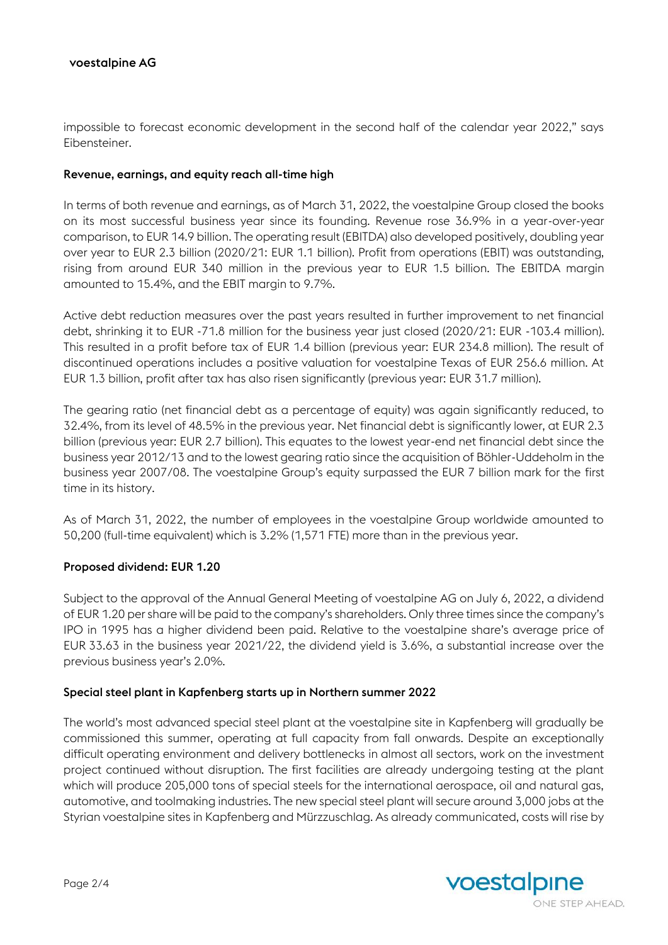impossible to forecast economic development in the second half of the calendar year 2022," says Eibensteiner.

## Revenue, earnings, and equity reach all-time high

In terms of both revenue and earnings, as of March 31, 2022, the voestalpine Group closed the books on its most successful business year since its founding. Revenue rose 36.9% in a year-over-year comparison, to EUR 14.9 billion. The operating result (EBITDA) also developed positively, doubling year over year to EUR 2.3 billion (2020/21: EUR 1.1 billion). Profit from operations (EBIT) was outstanding, rising from around EUR 340 million in the previous year to EUR 1.5 billion. The EBITDA margin amounted to 15.4%, and the EBIT margin to 9.7%.

Active debt reduction measures over the past years resulted in further improvement to net financial debt, shrinking it to EUR -71.8 million for the business year just closed (2020/21: EUR -103.4 million). This resulted in a profit before tax of EUR 1.4 billion (previous year: EUR 234.8 million). The result of discontinued operations includes a positive valuation for voestalpine Texas of EUR 256.6 million. At EUR 1.3 billion, profit after tax has also risen significantly (previous year: EUR 31.7 million).

The gearing ratio (net financial debt as a percentage of equity) was again significantly reduced, to 32.4%, from its level of 48.5% in the previous year. Net financial debt is significantly lower, at EUR 2.3 billion (previous year: EUR 2.7 billion). This equates to the lowest year-end net financial debt since the business year 2012/13 and to the lowest gearing ratio since the acquisition of Böhler-Uddeholm in the business year 2007/08. The voestalpine Group's equity surpassed the EUR 7 billion mark for the first time in its history.

As of March 31, 2022, the number of employees in the voestalpine Group worldwide amounted to 50,200 (full-time equivalent) which is 3.2% (1,571 FTE) more than in the previous year.

## Proposed dividend: EUR 1.20

Subject to the approval of the Annual General Meeting of voestalpine AG on July 6, 2022, a dividend of EUR 1.20 per share will be paid to the company's shareholders. Only three times since the company's IPO in 1995 has a higher dividend been paid. Relative to the voestalpine share's average price of EUR 33.63 in the business year 2021/22, the dividend yield is 3.6%, a substantial increase over the previous business year's 2.0%.

#### Special steel plant in Kapfenberg starts up in Northern summer 2022

The world's most advanced special steel plant at the voestalpine site in Kapfenberg will gradually be commissioned this summer, operating at full capacity from fall onwards. Despite an exceptionally difficult operating environment and delivery bottlenecks in almost all sectors, work on the investment project continued without disruption. The first facilities are already undergoing testing at the plant which will produce 205,000 tons of special steels for the international aerospace, oil and natural gas, automotive, and toolmaking industries. The new special steel plant will secure around 3,000 jobs at the Styrian voestalpine sites in Kapfenberg and Mürzzuschlag. As already communicated, costs will rise by

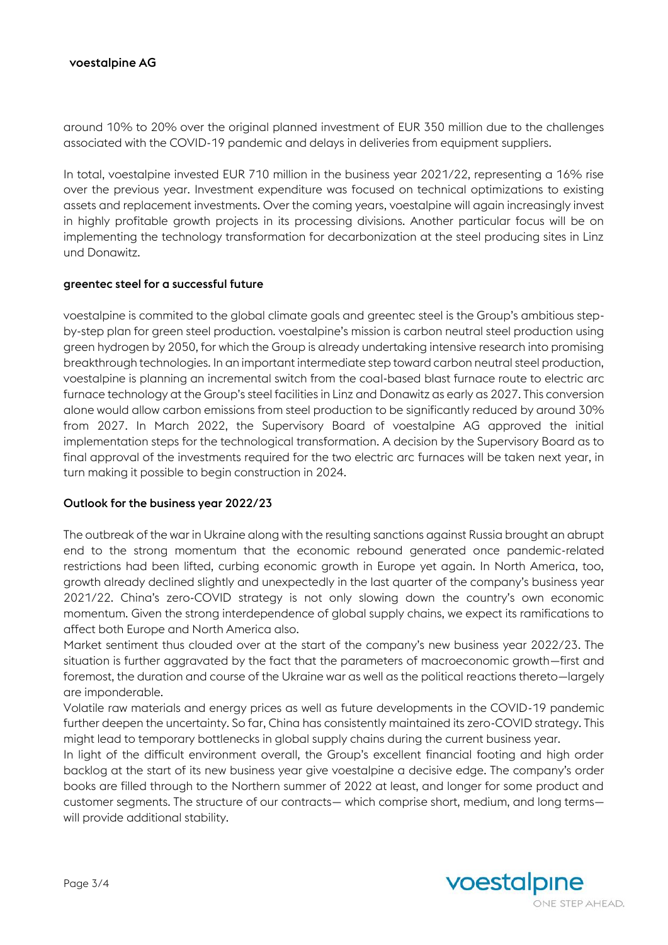# voestalpine AG

around 10% to 20% over the original planned investment of EUR 350 million due to the challenges associated with the COVID-19 pandemic and delays in deliveries from equipment suppliers.

In total, voestalpine invested EUR 710 million in the business year 2021/22, representing a 16% rise over the previous year. Investment expenditure was focused on technical optimizations to existing assets and replacement investments. Over the coming years, voestalpine will again increasingly invest in highly profitable growth projects in its processing divisions. Another particular focus will be on implementing the technology transformation for decarbonization at the steel producing sites in Linz und Donawitz.

### greentec steel for a successful future

voestalpine is commited to the global climate goals and greentec steel is the Group's ambitious stepby-step plan for green steel production. voestalpine's mission is carbon neutral steel production using green hydrogen by 2050, for which the Group is already undertaking intensive research into promising breakthrough technologies. In an important intermediate step toward carbon neutral steel production, voestalpine is planning an incremental switch from the coal-based blast furnace route to electric arc furnace technology at the Group's steel facilities in Linz and Donawitz as early as 2027. This conversion alone would allow carbon emissions from steel production to be significantly reduced by around 30% from 2027. In March 2022, the Supervisory Board of voestalpine AG approved the initial implementation steps for the technological transformation. A decision by the Supervisory Board as to final approval of the investments required for the two electric arc furnaces will be taken next year, in turn making it possible to begin construction in 2024.

## Outlook for the business year 2022/23

The outbreak of the war in Ukraine along with the resulting sanctions against Russia brought an abrupt end to the strong momentum that the economic rebound generated once pandemic-related restrictions had been lifted, curbing economic growth in Europe yet again. In North America, too, growth already declined slightly and unexpectedly in the last quarter of the company's business year 2021/22. China's zero-COVID strategy is not only slowing down the country's own economic momentum. Given the strong interdependence of global supply chains, we expect its ramifications to affect both Europe and North America also.

Market sentiment thus clouded over at the start of the company's new business year 2022/23. The situation is further aggravated by the fact that the parameters of macroeconomic growth—first and foremost, the duration and course of the Ukraine war as well as the political reactions thereto—largely are imponderable.

Volatile raw materials and energy prices as well as future developments in the COVID-19 pandemic further deepen the uncertainty. So far, China has consistently maintained its zero-COVID strategy. This might lead to temporary bottlenecks in global supply chains during the current business year.

In light of the difficult environment overall, the Group's excellent financial footing and high order backlog at the start of its new business year give voestalpine a decisive edge. The company's order books are filled through to the Northern summer of 2022 at least, and longer for some product and customer segments. The structure of our contracts— which comprise short, medium, and long terms will provide additional stability.